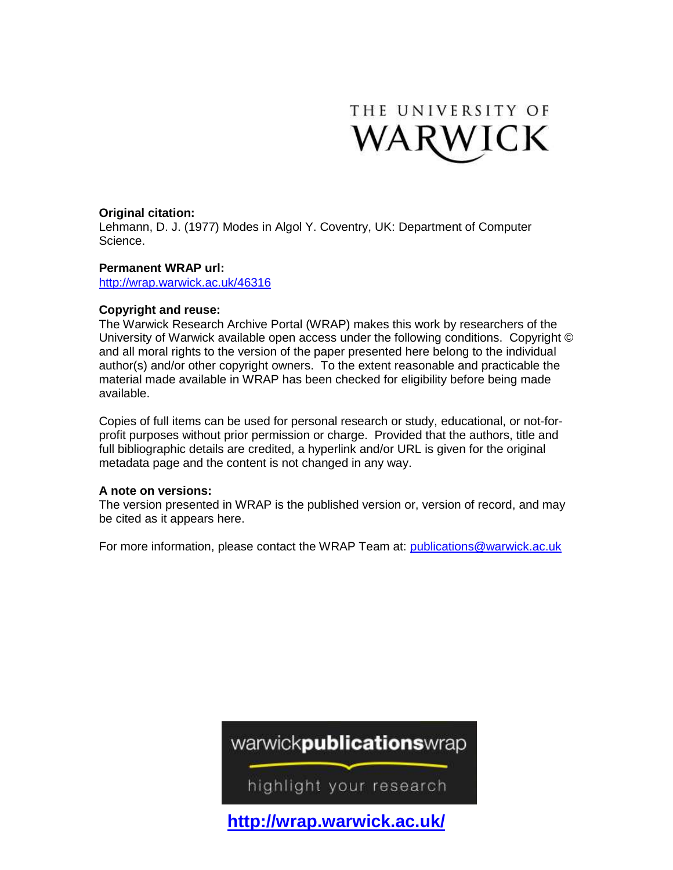

# **Original citation:**

Lehmann, D. J. (1977) Modes in Algol Y. Coventry, UK: Department of Computer Science.

# **Permanent WRAP url:**

<http://wrap.warwick.ac.uk/46316>

# **Copyright and reuse:**

The Warwick Research Archive Portal (WRAP) makes this work by researchers of the University of Warwick available open access under the following conditions. Copyright © and all moral rights to the version of the paper presented here belong to the individual author(s) and/or other copyright owners. To the extent reasonable and practicable the material made available in WRAP has been checked for eligibility before being made available.

Copies of full items can be used for personal research or study, educational, or not-forprofit purposes without prior permission or charge. Provided that the authors, title and full bibliographic details are credited, a hyperlink and/or URL is given for the original metadata page and the content is not changed in any way.

# **A note on versions:**

The version presented in WRAP is the published version or, version of record, and may be cited as it appears here.

For more information, please contact the WRAP Team at: [publications@warwick.ac.uk](mailto:publications@warwick.ac.uk)

# warwickpublicationswrap

highlight your research

**<http://wrap.warwick.ac.uk/>**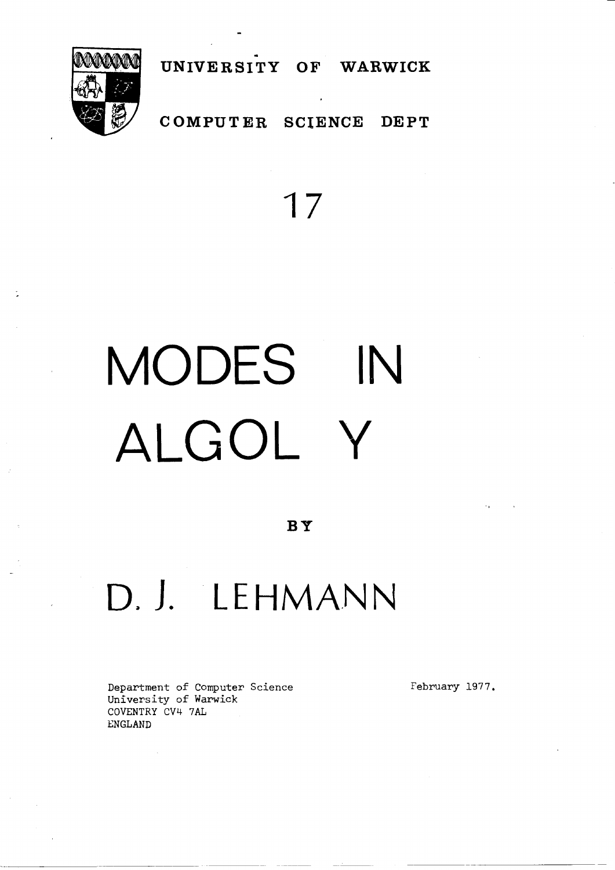

COMPUTER SCIENCE **DEPT** 

UNIVERSITY OF WARWICK

# 17

# MODES IN ALGOL Y

BY

# D. J. LEHMANN

Department of Computer Science University of Warwick COVENTRY CV4 7AL ENGLAND

February 1977.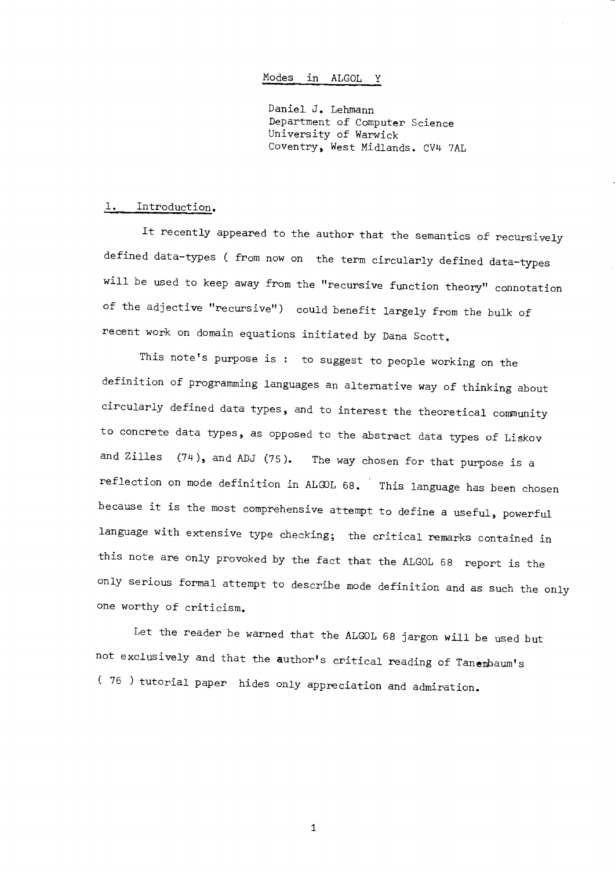## Modes in ALGOL Y

Daniel J. Lehmann Department of Computer Science University of Warwick Coventry, West Midlands. CV4 7AL

#### Introduction.  $\mathbf{1.}$

It recently appeared to the author that the semantics of recursively defined data-types ( from now on the term circularly defined data-types will be used to keep away from the "recursive function theory" connotation of the adjective "recursive") could benefit largely from the bulk of recent work on domain equations initiated by Dana Scott.

This note's purpose is : to suggest to people working on the definition of programming languages an alternative way of thinking about circularly defined data types, and to interest the theoretical community to concrete data types, as opposed to the abstract data types of Liskov and Zilles  $(74)$ , and ADJ  $(75)$ . The way chosen for that purpose is a reflection on mode definition in ALGOL 68. This language has been chosen because it is the most comprehensive attempt to define a useful, powerful language with extensive type checking; the critical remarks contained in this note are only provoked by the fact that the ALGOL 68 report is the only serious formal attempt to describe mode definition and as such the only one worthy of criticism.

Let the reader be warned that the ALGOL 68 jargon will be used but not exclusively and that the author's critical reading of Tanembaum's (76) tutorial paper hides only appreciation and admiration.

 $\mathbf{1}$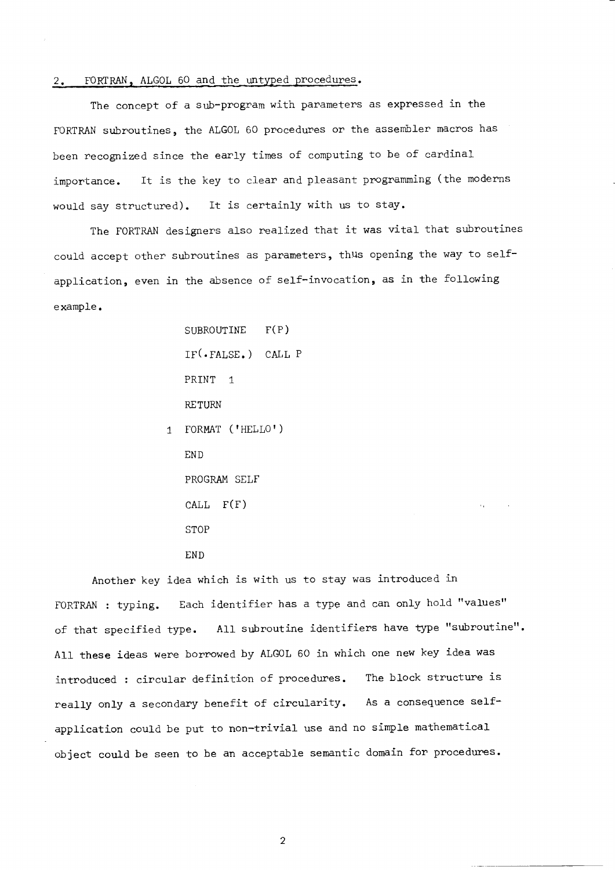# 2. FORTRAN, ALGOL 60 and the untyped procedures.

The concept of a sub-program with parameters as expressed in the FORTRAN subroutines, the ALGOL 60 procedures or the assembler macros has been recognized since the early times of computing to be of cardinal It is the key to clear and pleasant programming (the moderns importance. would say structured). It is certainly with us to stay.

The FORTRAN designers also realized that it was vital that subroutines could accept other subroutines as parameters, thus opening the way to selfapplication, even in the absence of self-invocation, as in the following example.

SUBROUTINE  $F(P)$  $IF(.FALSE.)$  CALL P PRINT 1 **RETURN** 1 FORMAT ('HELLO')

END PROGRAM SELF  $CALL$   $F(F)$ **STOP** END

Another key idea which is with us to stay was introduced in FORTRAN : typing. Each identifier has a type and can only hold "values" of that specified type. All subroutine identifiers have type "subroutine". All these ideas were borrowed by ALGOL 60 in which one new key idea was introduced : circular definition of procedures. The block structure is really only a secondary benefit of circularity. As a consequence selfapplication could be put to non-trivial use and no simple mathematical object could be seen to be an acceptable semantic domain for procedures.

 $\sqrt{2}$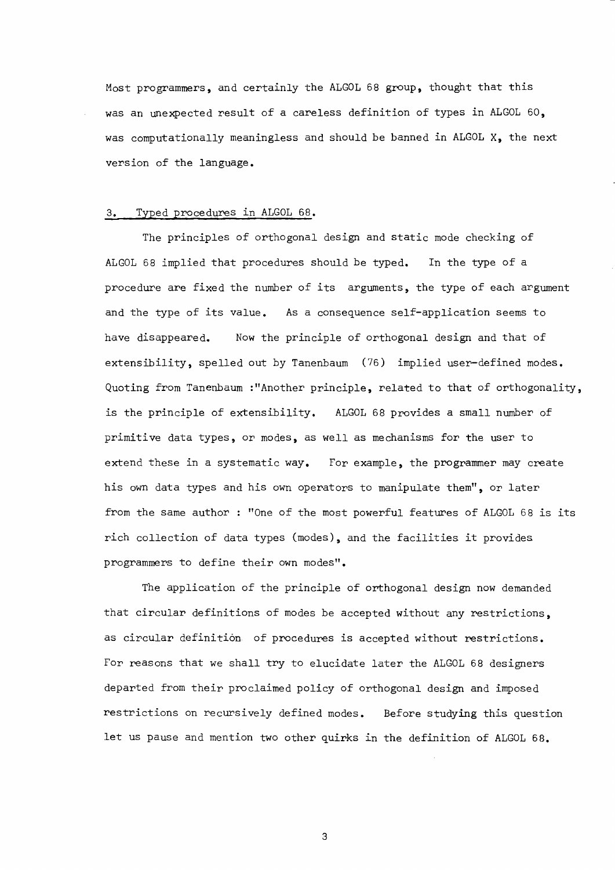Most programmers, and certainly the ALGOL 68 group, thought that this was an unexpected result of a careless definition of types in ALGOL 60, was computationally meaningless and should be banned in ALGOL X, the next version of the language.

#### Typed procedures in ALGOL 68.  $3.$

The principles of orthogonal design and static mode checking of ALGOL 68 implied that procedures should be typed. In the type of a procedure are fixed the number of its arguments, the type of each argument and the type of its value. As a consequence self-application seems to have disappeared. Now the principle of orthogonal design and that of extensibility, spelled out by Tanenbaum (76) implied user-defined modes. Quoting from Tanenbaum :"Another principle, related to that of orthogonality, is the principle of extensibility. ALGOL 68 provides a small number of primitive data types, or modes, as well as mechanisms for the user to extend these in a systematic way. For example, the programmer may create his own data types and his own operators to manipulate them", or later from the same author : "One of the most powerful features of ALGOL 68 is its rich collection of data types (modes), and the facilities it provides programmers to define their own modes".

The application of the principle of orthogonal design now demanded that circular definitions of modes be accepted without any restrictions, as circular definition of procedures is accepted without restrictions. For reasons that we shall try to elucidate later the ALGOL 68 designers departed from their proclaimed policy of orthogonal design and imposed restrictions on recursively defined modes. Before studying this question let us pause and mention two other quirks in the definition of ALGOL 68.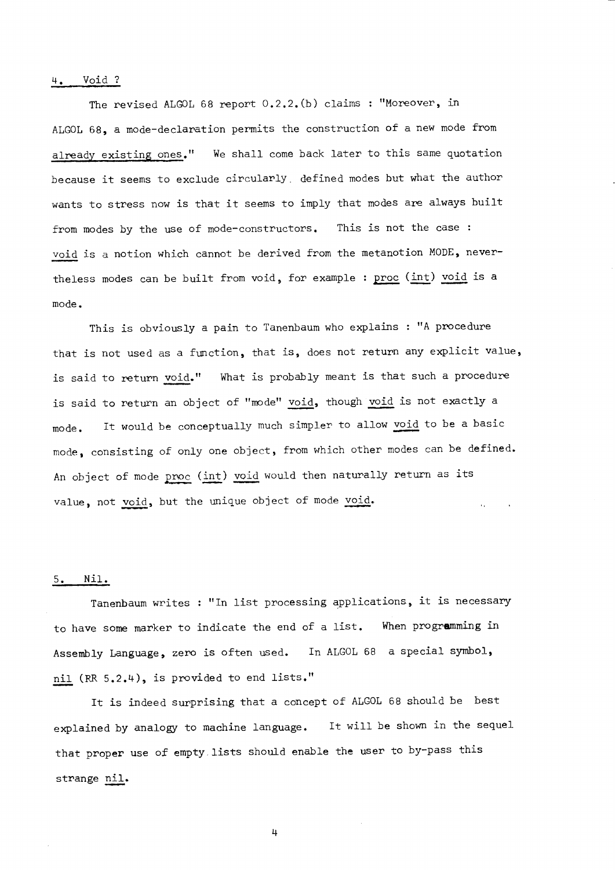#### Void ? 4.

The revised ALGOL 68 report 0.2.2. (b) claims : "Moreover, in ALGOL 68, a mode-declaration permits the construction of a new mode from already existing ones." We shall come back later to this same quotation because it seems to exclude circularly defined modes but what the author wants to stress now is that it seems to imply that modes are always built from modes by the use of mode-constructors. This is not the case : void is a notion which cannot be derived from the metanotion MODE, nevertheless modes can be built from void, for example : proc (int) void is a mode.

This is obviously a pain to Tanenbaum who explains : "A procedure that is not used as a function, that is, does not return any explicit value, is said to return void." What is probably meant is that such a procedure is said to return an object of "mode" void, though void is not exactly a It would be conceptually much simpler to allow void to be a basic mode. mode, consisting of only one object, from which other modes can be defined. An object of mode proc (int) void would then naturally return as its value, not void, but the unique object of mode void.

#### Nil.  $5.$

Tanenbaum writes : "In list processing applications, it is necessary to have some marker to indicate the end of a list. When programming in Assembly Language, zero is often used. In ALGOL 68 a special symbol, nil (RR 5.2.4), is provided to end lists."

It is indeed surprising that a concept of ALGOL 68 should be best explained by analogy to machine language. It will be shown in the sequel that proper use of empty lists should enable the user to by-pass this strange nil.

 $\frac{1}{2}$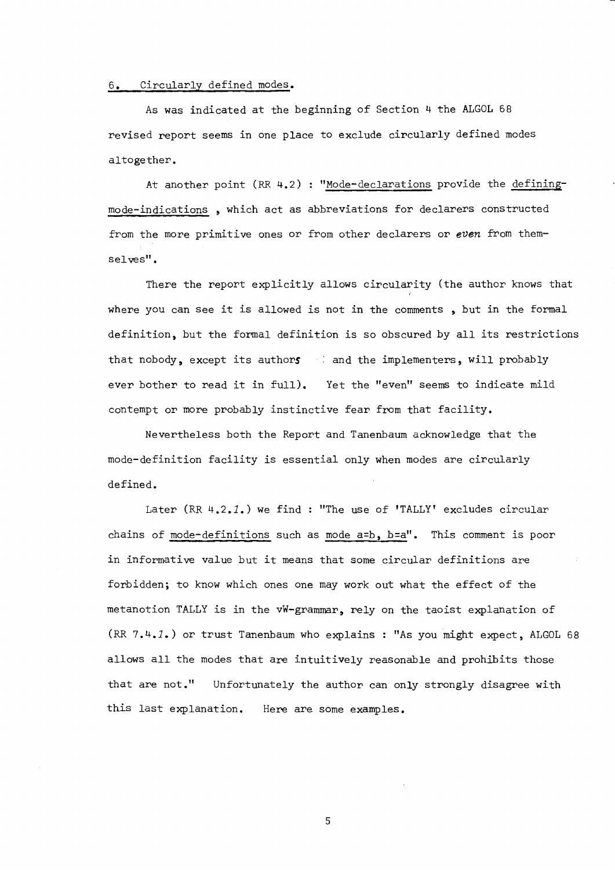# 6. Circularly defined modes.

As was indicated at the beginning of Section 4 the ALGOL 68 revised report seems in one place to exclude circularly defined modes altogether.

At another point (RR 4.2) : "Mode-declarations provide the definingmode-indications, which act as abbreviations for declarers constructed from the more primitive ones or from other declarers or even from themselves".

There the report explicitly allows circularity (the author knows that where you can see it is allowed is not in the comments, but in the formal definition, but the formal definition is so obscured by all its restrictions that nobody, except its authors is and the implementers, will probably ever bother to read it in full). Yet the "even" seems to indicate mild contempt or more probably instinctive fear from that facility.

Nevertheless both the Report and Tanenbaum acknowledge that the mode-definition facility is essential only when modes are circularly defined.

Later (RR 4.2.1.) we find: "The use of 'TALLY' excludes circular chains of mode-definitions such as mode a=b, b=a". This comment is poor in informative value but it means that some circular definitions are forbidden; to know which ones one may work out what the effect of the metanotion TALLY is in the vW-grammar, rely on the taoist explanation of (RR 7.4.1.) or trust Tanenbaum who explains : "As you might expect, ALGOL 68 allows all the modes that are intuitively reasonable and prohibits those that are not." Unfortunately the author can only strongly disagree with this last explanation. Here are some examples.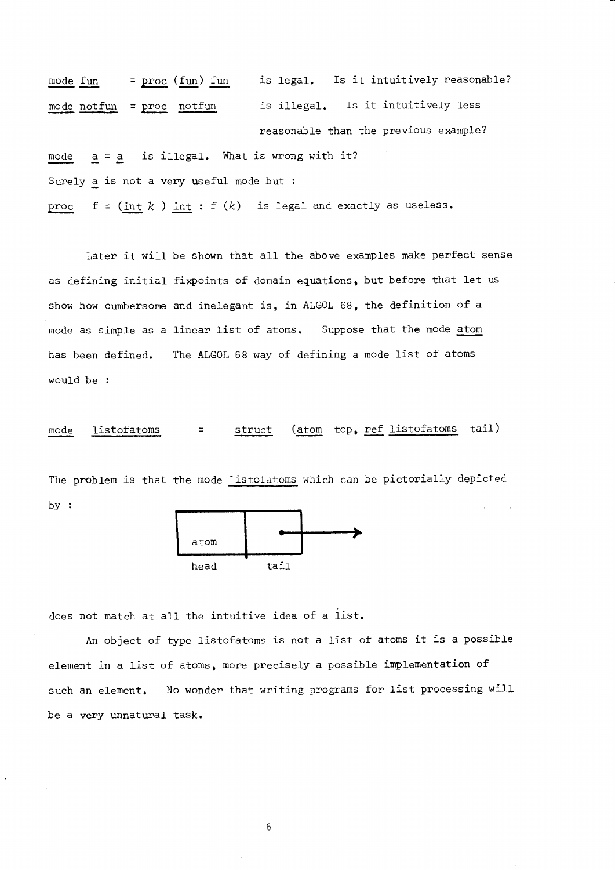mode fun, mode notfun = <u>proc</u> (fun) fun  $=$  proc notfun is legal. Is it intuitively reasonable? is illegal. Is it intuitively less mode Surely <u>a</u> is not a very useful mode but : pnoc  $a = a$  $f = (\underline{\text{int}}\; k$  )  $\underline{\text{int}}$  :  $f(k)$  is legal and exactly as useless. neasonable than the previous example? is illegal. What is wrong with it?

Later it will be shown that all the above examples make perfect sense as defining initial fixpoints of domain equations, but before that let us show how cumbersome and inelegant is, in ALGOL 68, the definition of a mode as simple as a linear list of atoms. Suppose that the mode atom has been defined. The ALGOL 68 way of defining a mode list of atoms would be :

mode listofatoms = struct (atom top, ref listofatoms tail)

The problem is that the mode listofatoms which can be pictorially depicted by :



does not match at all the intuitive idea of a list.

An object of type listofatoms is not a list of atoms it is a possible element in a list of atoms, more precisely a possible implementation of such an element. No wonder that writing programs for list processing will be a very unnatural task.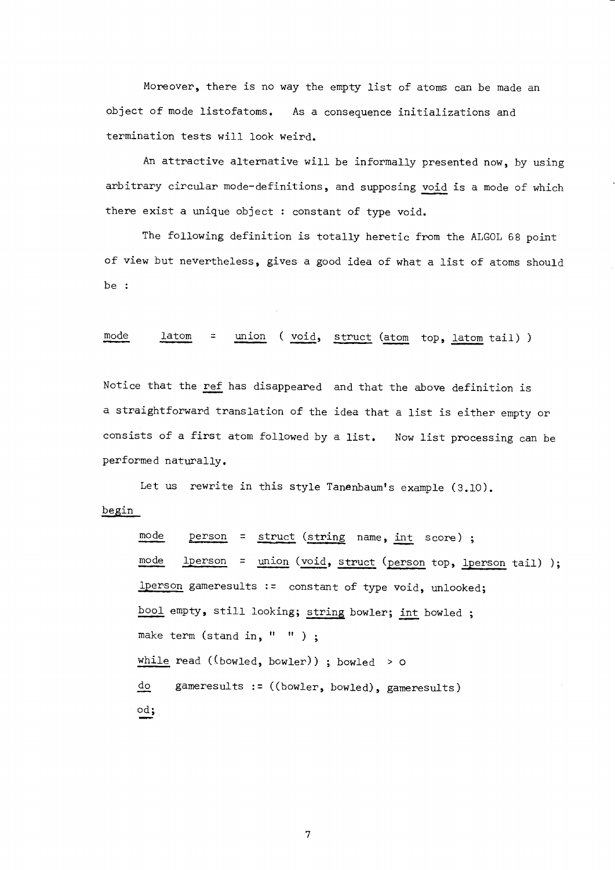Moreover, there is no way the empty list of atoms can be made an object of mode listofatoms. As a consequence initializations and termination tests will look weird.

An attractive alternative will be informally presented now, by using arbitrary circular mode-definitions, and supposing void is a mode of which there exist a unique object : constant of type void.

The following definition is totally heretic from the ALGOL 68 point of view but nevertheless, gives a good idea of what a list of atoms should be :

union (void, struct (atom top, latom tail)) mode latom  $\equiv$ 

Notice that the ref has disappeared and that the above definition is a straightforward translation of the idea that a list is either empty or consists of a first atom followed by a list. Now list processing can be performed naturally.

Let us rewrite in this style Tanenbaum's example (3.10). begin

```
mode
        person = struct (string name, int score);
modelperson = union (void, struct (person top, lperson tail) );
lperson gameresults := constant of type void, unlooked;
bool empty, still looking; string bowler; int bowled;
make term (stand in, " " );
while read ((bowled, bowler)) ; bowled > ogameresults := ((bowler, bowled), gameresults)
do
od;
```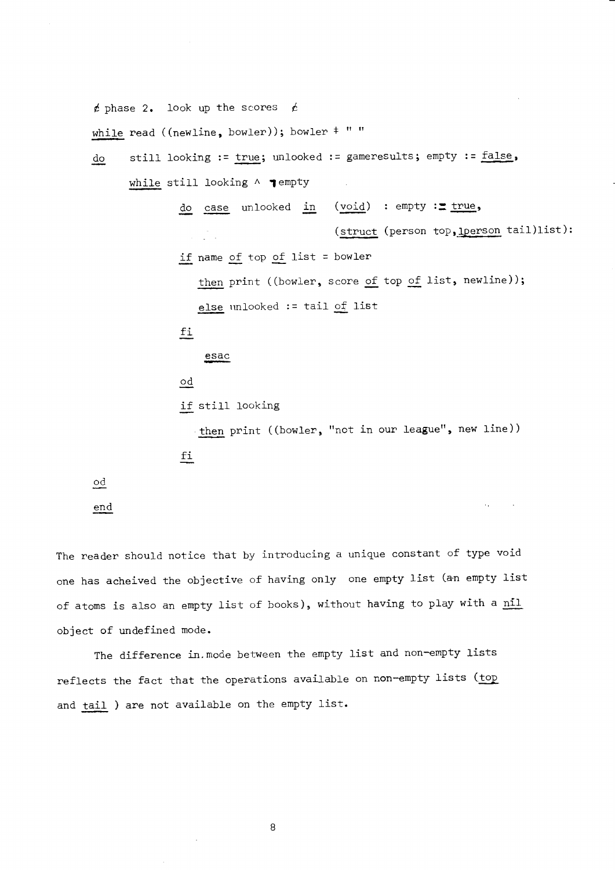$t$  phase 2. look up the scores  $t$ 

while read ((newline, bowler)); bowler  $*$  " "

```
do still looking := true; unlooked := gameresults; empty := false,
```
while still looking  $\land$   $\blacktriangledown$  empty

do case unlooked in  $(void)$  : empty := true,

if name of top of list = bowler

then print ((bowler, score of top of list, newline));

(struct (person top, Iperson tail)list):

 $\mathcal{A}_{\mathcal{A}}$ 

else unlooked := tail of list

fi

 $\stackrel{\text{esa}}{\text{--}}$ 

od

.<br>If still lookin

then print ((bowler, "not in our league", new line)) f!

od

en\_d

The reader should notice that by introducing a unique constant of type void one has acheived the objective of having only one empty list (an empty list of atoms is also an empty list of books), without having to play with a nil object of undefined mode.

The difference in. mode between the empty list and non-empty lists reflects the fact that the operations available on non-empty lists (top and tail ) are not available on the empty list.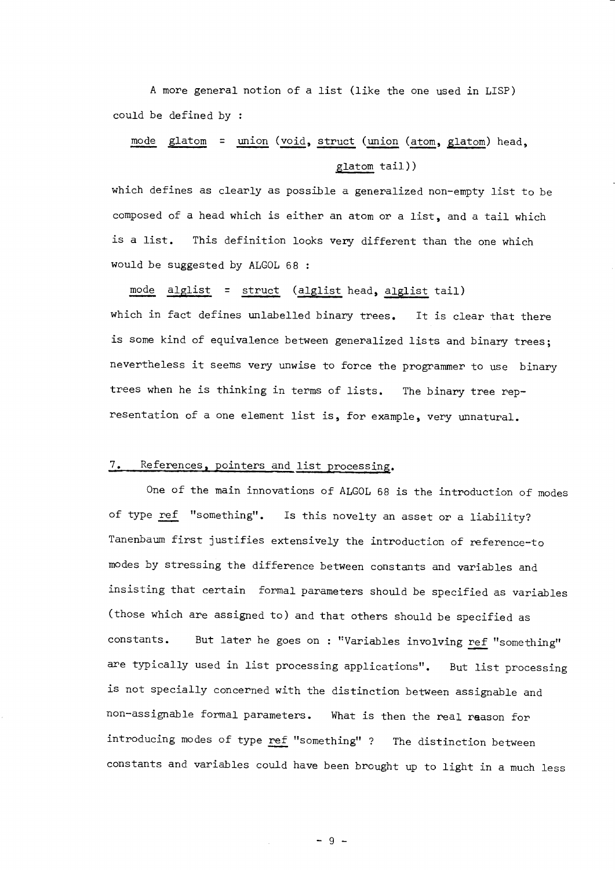A more general notion of a list (like the one used in LISP) could be defined by :

# mode glatom = union (void, struct (union (atom, glatom) head, glatom tail))

which defines as clearly as possible a generalized non-empty list to be composed of a head which is either an atom or a list, and a tail which is a list. This definition looks very different than the one which would be suggested by ALGOL 68 :

mode alglist = struct (alglist head, alglist tail) which in fact defines unlabelled binary trees. It is clear that there is some kind of equivalence between generalized lists and binary trees; nevertheless it seems very unwise to force the programmer to use binary trees when he is thinking in terms of lists. The binary tree representation of a one element list is, for example, very unnatural.

# 7. References, pointers and list processing.

One of the main innovations of ALGOL 68 is the introduction of modes of type ref "something". Is this novelty an asset or a liability? Tanenbaum first justifies extensively the introduction of reference-to modes by stressing the difference between constants and variables and insisting that certain formal parameters should be specified as variables (those which are assigned to) and that others should be specified as constants. But later he goes on : "Variables involving ref "something" are typically used in list processing applications". But list processing is not specially concerned with the distinction between assignable and non-assignable formal parameters. What is then the real reason for introducing modes of type ref "something" ? The distinction between constants and variables could have been brought up to light in a much less

 $-9 -$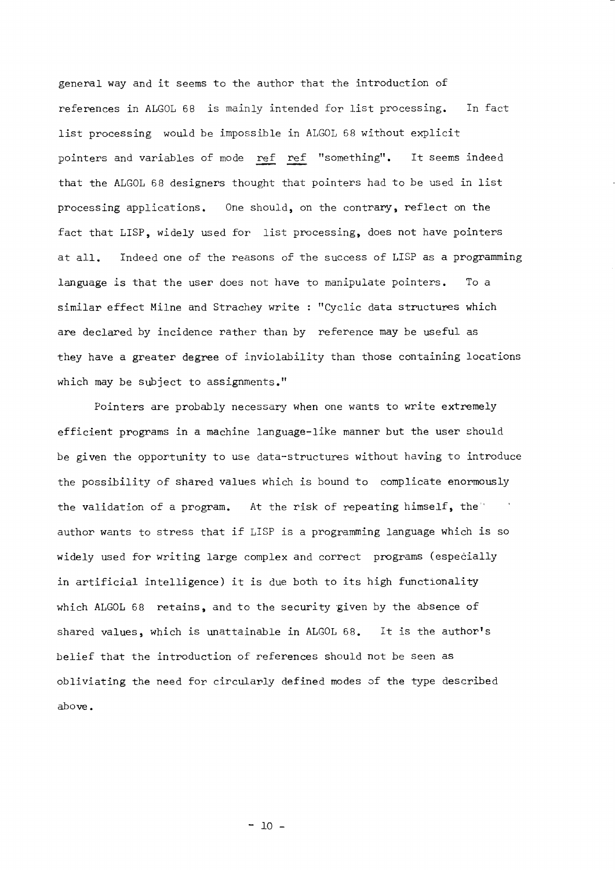general way and it seems to the author that the introduction of references in ALGOL 68 is mainly intended for list processing. In fact list processing would be impossible in ALGOL 68 without explicit pointers and variables of mode ref ref "something". It seems indeed that the ALGOL 68 designers thought that pointers had to be used in list processing applications. One should, on the contrary, reflect on the fact that LISP, widely used for list processing, does not have pointers at all. Indeed one of the reasons of the success of LISP as a programming language is that the user does not have to manipulate pointers. To a similar effect Milne and Strachey write : "Cyclic data structures which are declared by incidence rather than by reference may be useful as they have a greater degree of inviolability than those containing locations which may be subject to assignments."

Pointers are probably necessary when one wants to write extremely efficient programs in a machine language-like manner but the user should be given the opportunity to use data-structures without having to introduce the possibility of shared values which is bound to complicate enormously the validation of a program. At the risk of repeating himself, the" author wants to stress that if LISP is a programming language which is so widely used for writing large complex and correct programs (especially in artificial intelligence) it is due both to its high functionality which ALGOL 68 retains, and to the security given by the absence of shared values, which is unattainable in ALGOL 68. It is the author's belief that the introduction of references should not be seen as obliviating the need for circularly defined modes of the type described above.

 $-10 -$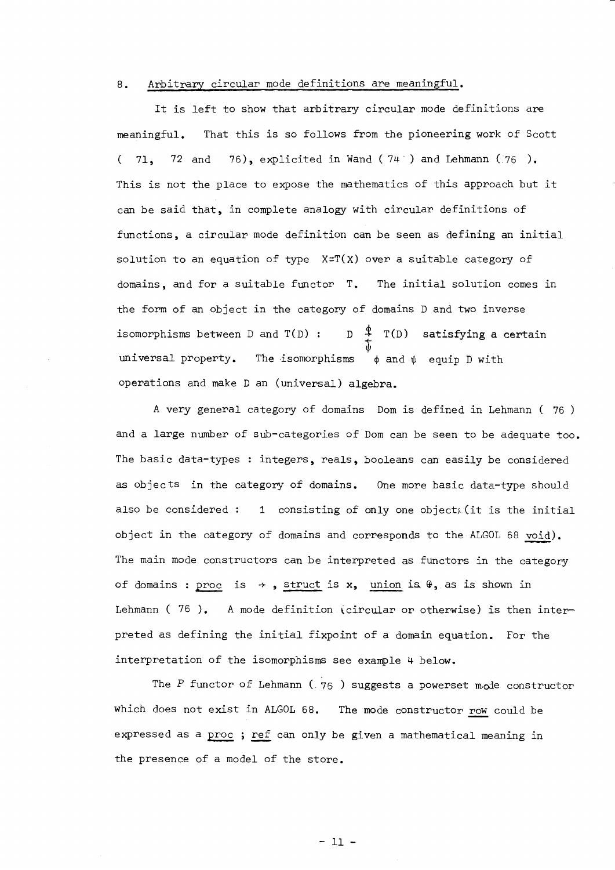#### $8.$ Arbitrary circular mode definitions are meaningful.

It is left to show that arbitrary circular mode definitions are That this is so follows from the pioneering work of Scott meaningful. 71, 72 and 76), explicited in Wand ( $74$ ) and Lehmann (76).  $\left($ This is not the place to expose the mathematics of this approach but it can be said that, in complete analogy with circular definitions of functions, a circular mode definition can be seen as defining an initial solution to an equation of type X=T(X) over a suitable category of domains, and for a suitable functor T. The initial solution comes in the form of an object in the category of domains D and two inverse  $D \stackrel{\Phi}{\rightarrow} T(D)$  satisfying a certain isomorphisms between D and T(D) : universal property. The isomorphisms  $\phi$  and  $\psi$  equip D with operations and make D an (universal) algebra.

A very general category of domains Dom is defined in Lehmann (76) and a large number of sub-categories of Dom can be seen to be adequate too. The basic data-types : integers, reals, booleans can easily be considered as objects in the category of domains. One more basic data-type should also be considered: 1 consisting of only one object, (it is the initial object in the category of domains and corresponds to the ALGOL 68 void). The main mode constructors can be interpreted as functors in the category of domains : proc is  $\rightarrow$ , struct is x, union is  $\theta$ , as is shown in Lehmann (76). A mode definition (circular or otherwise) is then interpreted as defining the initial fixpoint of a domain equation. For the interpretation of the isomorphisms see example 4 below.

The P functor of Lehmann ( $76$ ) suggests a powerset mode constructor which does not exist in ALGOL 68. The mode constructor row could be expressed as a proc ; ref can only be given a mathematical meaning in the presence of a model of the store.

 $-11 -$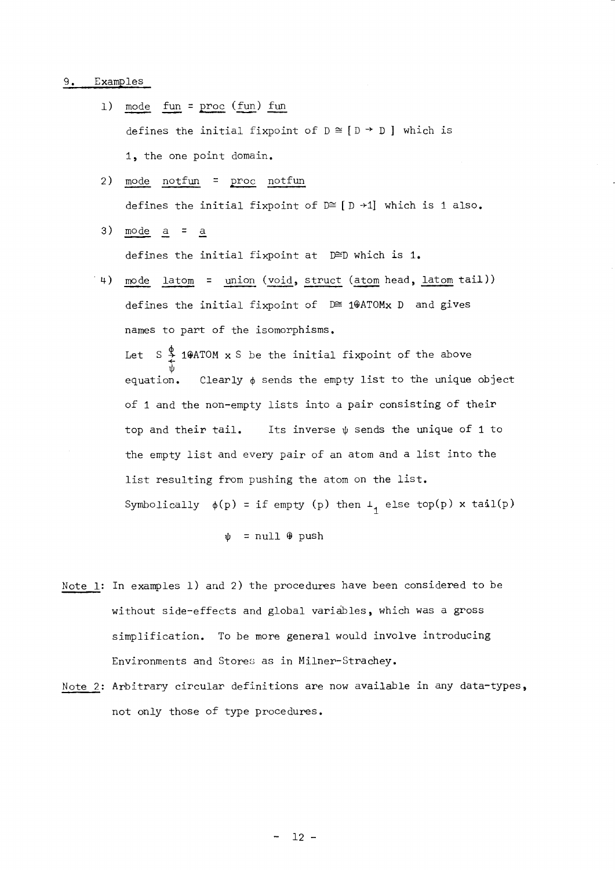#### Examples  $9.$

- mode fun =  $proc (fun)$  fun  $1)$ defines the initial fixpoint of  $D \cong [D \rightarrow D]$  which is 1, the one point domain.
- mode notfun = proc notfun  $2)$ defines the initial fixpoint of  $D \cong [D + 1]$  which is 1 also.
- $3)$  $mode$   $a$  =  $a$

defines the initial fixpoint at D≅D which is 1.

 $(4)$ mode latom = union (void, struct (atom head, latom tail)) defines the initial fixpoint of D≅ 10ATOMx D and gives names to part of the isomorphisms. Let  $S \oint_C 1\theta A T O M \times S$  be the initial fixpoint of the above Clearly  $\phi$  sends the empty list to the unique object equation. of 1 and the non-empty lists into a pair consisting of their top and their tail. Its inverse  $\psi$  sends the unique of 1 to the empty list and every pair of an atom and a list into the list resulting from pushing the atom on the list. Symbolically  $\phi(p)$  = if empty (p) then  $\bot_1$  else top(p) x tail(p)

 $\psi$  = null  $\theta$  push

- Note\_1: In examples 1) and 2) the procedures have been considered to be without side-effects and global variables, which was a gross simplification. To be more general would involve introducing Environments and Stores as in Milner-Strachey.
- Note 2: Arbitrary circular definitions are now available in any data-types, not only those of type procedures.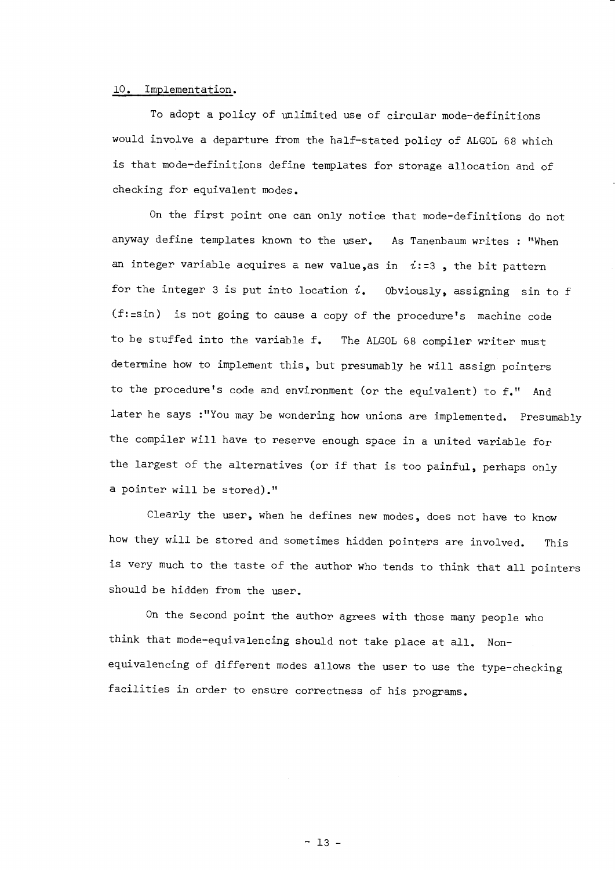## 10. Implementation.

To adopt a policy of unlimited use of circular mode-definitions would involve a departure from the half-stated policy of ALGOL 68 which is that mode-definitions define templates fon stonage allocation and of checking for equivalent modes.

On the finst point one can only notice that mode-definitions do not anyway define templates known to the user. As Tanenbaum writes : "When an integer variable acquires a new value, as in  $i:=3$ , the bit pattern for the integer 3 is put into location  $i$ . Obviously, assigning sin to f  $(f:=sin)$  is not going to cause a copy of the procedure's machine code to be stuffed into the variable f. The ALGOL 68 compiler writer must determine how to implement this, but presumably he will assign pointers to the procedure's code and environment (or the equivalent) to  $f.''$  And later he says :"You may be wondering how unions are implemented. Presumably the compiler will have to reserve enough space in a united variable for the largest of the alternatives (or if that is too painful, perhaps only a pointer will be stored)."

Clearly the user, when he defines new modes, does not have to know how they will be stored and sometimes hidden pointers are involved. This is very much to the taste of the author who tends to think that all pointers should be hidden from the user.

On the second point the author agrees with those many people who think that mode-equivalencing should not take place at all. Nonequivalencing of different modes allows the user to use the type-checking facilities in order to ensure correctness of his programs.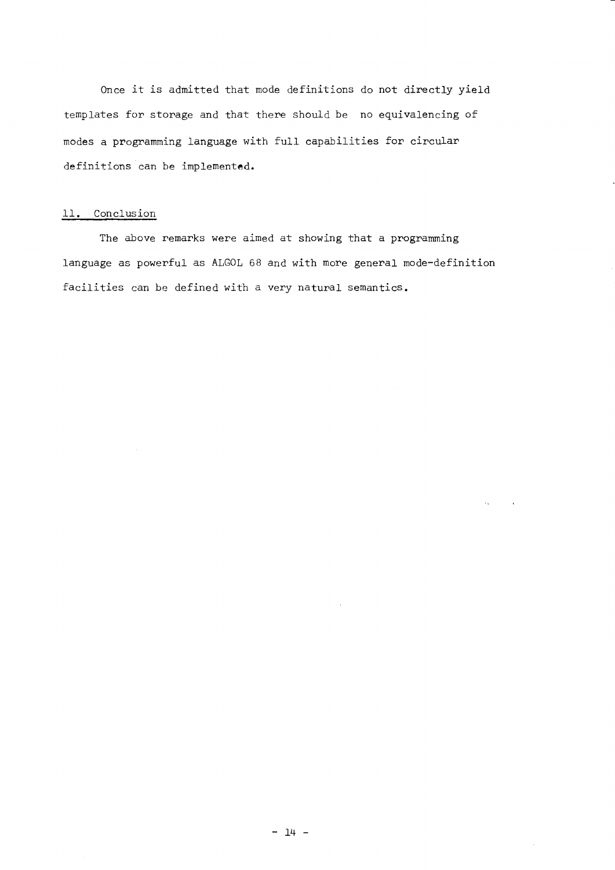Once it is admitted that mode definitions do not directly yield templates for storage and that there should be no equivalencing of modes a programming language with full capabilities for circular definitions can be implemented.

# 11. Conclusion

The above remarks were aimed at showing that a programming language as powerful as ALGOL 68 and with more general mode-definition facilities can be defined with a very natural semantics.

 $\sim 10^{11}$  and  $\sim 10^{11}$